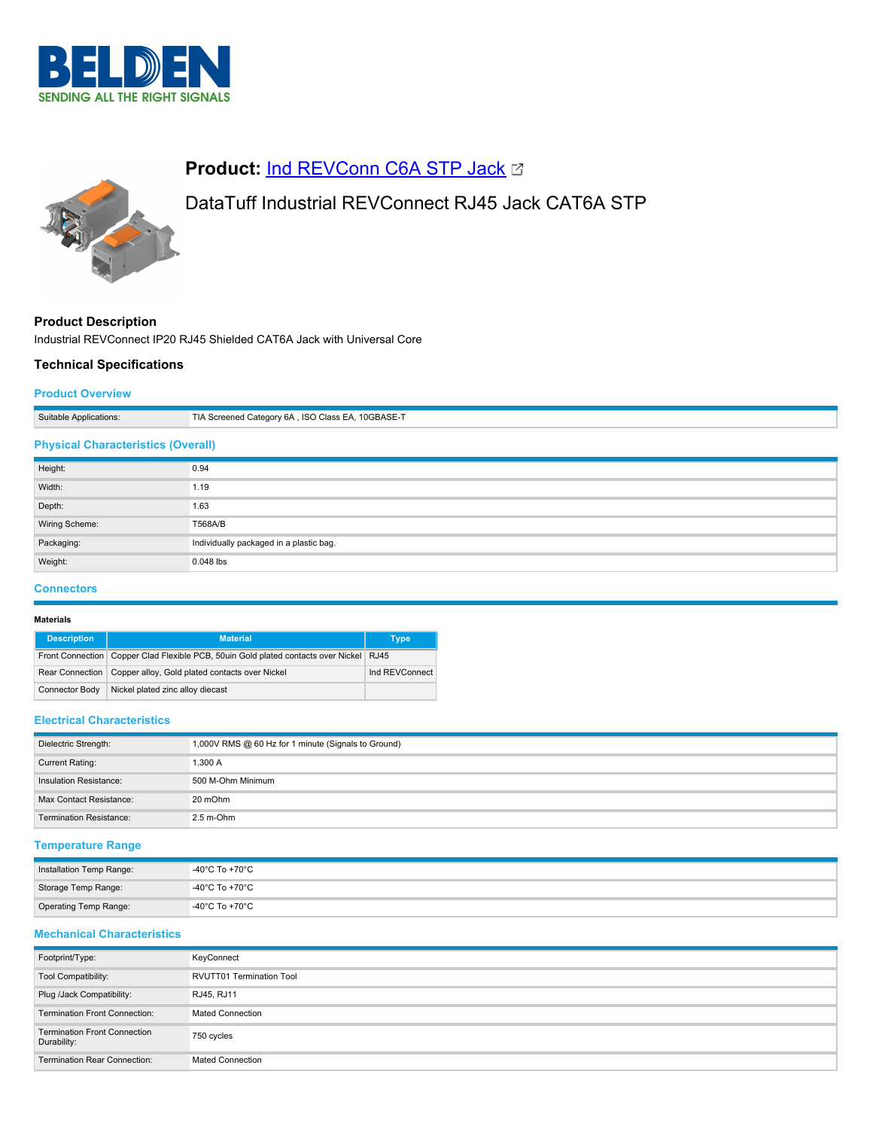



# **Product: [Ind REVConn C6A STP Jack](https://catalog.belden.com/index.cfm?event=pd&p=PF_IndREVConnC6ASTPJack&tab=downloads) &**

# DataTuff Industrial REVConnect RJ45 Jack CAT6A STP

# **Product Description**

Industrial REVConnect IP20 RJ45 Shielded CAT6A Jack with Universal Core

## **Technical Specifications**

Weight: 0.048 lbs

### **Product Overview**

| Suitable Applications:                    | TIA Screened Category 6A, ISO Class EA, 10GBASE-T |  |
|-------------------------------------------|---------------------------------------------------|--|
| <b>Physical Characteristics (Overall)</b> |                                                   |  |
| Height:                                   | 0.94                                              |  |
| Width:                                    | 1.19                                              |  |
| Depth:                                    | 1.63                                              |  |
| Wiring Scheme:                            | T568A/B                                           |  |
| Packaging:                                | Individually packaged in a plastic bag.           |  |

### **Connectors**

### **Materials**

| <b>Description</b>    | <b>Material</b>                                                                        | Type           |
|-----------------------|----------------------------------------------------------------------------------------|----------------|
|                       | Front Connection Copper Clad Flexible PCB, 50uin Gold plated contacts over Nickel RJ45 |                |
|                       | Rear Connection   Copper alloy, Gold plated contacts over Nickel                       | Ind REVConnect |
| <b>Connector Body</b> | Nickel plated zinc alloy diecast                                                       |                |

#### **Electrical Characteristics**

| Dielectric Strength:           | 1,000V RMS @ 60 Hz for 1 minute (Signals to Ground) |
|--------------------------------|-----------------------------------------------------|
| Current Rating:                | 1.300 A                                             |
| Insulation Resistance:         | 500 M-Ohm Minimum                                   |
| Max Contact Resistance:        | 20 mOhm                                             |
| <b>Termination Resistance:</b> | $2.5$ m-Ohm                                         |

### **Temperature Range**

| Installation Temp Range: | -40°C To +70°C |
|--------------------------|----------------|
| Storage Temp Range:      | -40°C To +70°C |
| Operating Temp Range:    | -40°C To +70°C |

# **Mechanical Characteristics**

| Footprint/Type:                                    | KeyConnect                      |
|----------------------------------------------------|---------------------------------|
| Tool Compatibility:                                | <b>RVUTT01 Termination Tool</b> |
| Plug /Jack Compatibility:                          | RJ45, RJ11                      |
| <b>Termination Front Connection:</b>               | <b>Mated Connection</b>         |
| <b>Termination Front Connection</b><br>Durability: | 750 cycles                      |
| <b>Termination Rear Connection:</b>                | <b>Mated Connection</b>         |